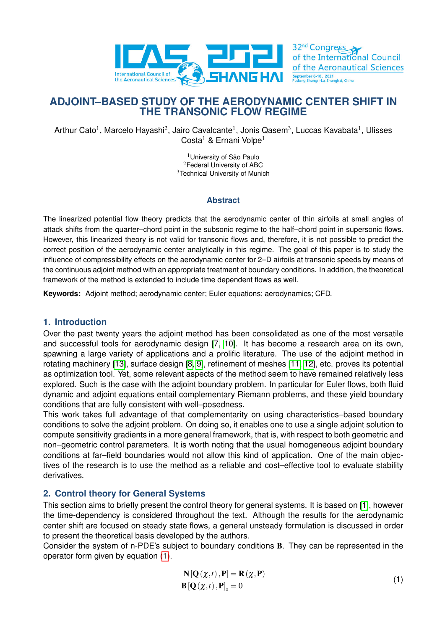

September 6-10, 2021<br>Pudong Shangri-La Shan **ADJOINT–BASED STUDY OF THE AERODYNAMIC CENTER SHIFT IN**

32<sup>nd</sup> Congress

of the International Council of the Aeronautical Sciences

Arthur Cato<sup>1</sup>, Marcelo Hayashi<sup>2</sup>, Jairo Cavalcante<sup>1</sup>, Jonis Qasem<sup>3</sup>, Luccas Kavabata<sup>1</sup>, Ulisses Costa<sup>1</sup> & Ernani Volpe<sup>1</sup>

**THE TRANSONIC FLOW REGIME**

<sup>1</sup> University of São Paulo <sup>2</sup>Federal University of ABC <sup>3</sup>Technical University of Munich

### **Abstract**

The linearized potential flow theory predicts that the aerodynamic center of thin airfoils at small angles of attack shifts from the quarter–chord point in the subsonic regime to the half–chord point in supersonic flows. However, this linearized theory is not valid for transonic flows and, therefore, it is not possible to predict the correct position of the aerodynamic center analytically in this regime. The goal of this paper is to study the influence of compressibility effects on the aerodynamic center for 2–D airfoils at transonic speeds by means of the continuous adjoint method with an appropriate treatment of boundary conditions. In addition, the theoretical framework of the method is extended to include time dependent flows as well.

**Keywords:** Adjoint method; aerodynamic center; Euler equations; aerodynamics; CFD.

# **1. Introduction**

Over the past twenty years the adjoint method has been consolidated as one of the most versatile and successful tools for aerodynamic design [\[7,](#page-10-0) [10\]](#page-10-1). It has become a research area on its own, spawning a large variety of applications and a prolific literature. The use of the adjoint method in rotating machinery [\[13\]](#page-10-2), surface design [\[8,](#page-10-3) [9\]](#page-10-4), refinement of meshes [\[11,](#page-10-5) [12\]](#page-10-6), etc. proves its potential as optimization tool. Yet, some relevant aspects of the method seem to have remained relatively less explored. Such is the case with the adjoint boundary problem. In particular for Euler flows, both fluid dynamic and adjoint equations entail complementary Riemann problems, and these yield boundary conditions that are fully consistent with well–posedness.

This work takes full advantage of that complementarity on using characteristics–based boundary conditions to solve the adjoint problem. On doing so, it enables one to use a single adjoint solution to compute sensitivity gradients in a more general framework, that is, with respect to both geometric and non–geometric control parameters. It is worth noting that the usual homogeneous adjoint boundary conditions at far–field boundaries would not allow this kind of application. One of the main objectives of the research is to use the method as a reliable and cost–effective tool to evaluate stability derivatives.

# **2. Control theory for General Systems**

This section aims to briefly present the control theory for general systems. It is based on [\[1\]](#page-9-0), however the time-dependency is considered throughout the text. Although the results for the aerodynamic center shift are focused on steady state flows, a general unsteady formulation is discussed in order to present the theoretical basis developed by the authors.

Consider the system of n-PDE's subject to boundary conditions B. They can be represented in the operator form given by equation [\(1\)](#page-0-0).

<span id="page-0-0"></span>
$$
\mathbf{N}[\mathbf{Q}(\chi,t),\mathbf{P}] = \mathbf{R}(\chi,\mathbf{P})
$$
  
\n
$$
\mathbf{B}[\mathbf{Q}(\chi,t),\mathbf{P}]_s = 0
$$
\n(1)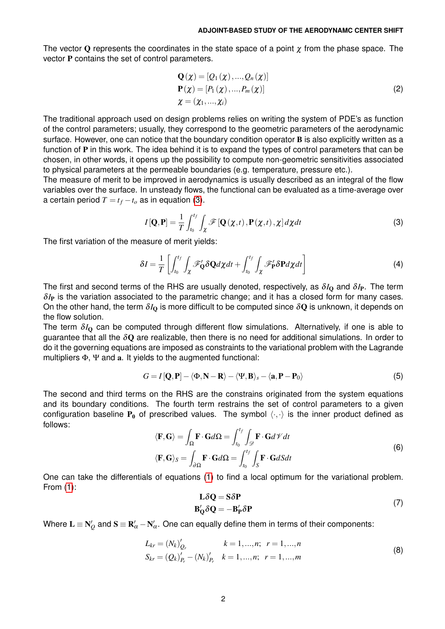The vector Q represents the coordinates in the state space of a point  $\chi$  from the phase space. The vector P contains the set of control parameters.

$$
\mathbf{Q}(\chi) = [\mathcal{Q}_1(\chi), ..., \mathcal{Q}_n(\chi)]
$$
  
\n
$$
\mathbf{P}(\chi) = [P_1(\chi), ..., P_m(\chi)]
$$
  
\n
$$
\chi = (\chi_1, ..., \chi_i)
$$
\n(2)

The traditional approach used on design problems relies on writing the system of PDE's as function of the control parameters; usually, they correspond to the geometric parameters of the aerodynamic surface. However, one can notice that the boundary condition operator **B** is also explicitly written as a function of  $P$  in this work. The idea behind it is to expand the types of control parameters that can be chosen, in other words, it opens up the possibility to compute non-geometric sensitivities associated to physical parameters at the permeable boundaries (e.g. temperature, pressure etc.).

<span id="page-1-0"></span>The measure of merit to be improved in aerodynamics is usually described as an integral of the flow variables over the surface. In unsteady flows, the functional can be evaluated as a time-average over a certain period  $T = t_f - t_o$  as in equation [\(3\)](#page-1-0).

$$
I[\mathbf{Q},\mathbf{P}] = \frac{1}{T} \int_{t_0}^{t_f} \int_{\chi} \mathcal{F}[\mathbf{Q}(\chi,t), \mathbf{P}(\chi,t), \chi] d\chi dt \tag{3}
$$

The first variation of the measure of merit yields:

$$
\delta I = \frac{1}{T} \left[ \int_{t_0}^{t_f} \int_{\chi} \mathscr{F}'_{\mathbf{Q}} \delta \mathbf{Q} d\chi dt + \int_{t_0}^{t_f} \int_{\chi} \mathscr{F}'_{\mathbf{P}} \delta \mathbf{P} d\chi dt \right]
$$
(4)

The first and second terms of the RHS are usually denoted, respectively, as δ*I*<sup>Q</sup> and δ*I*P. The term δ*I*<sup>P</sup> is the variation associated to the parametric change; and it has a closed form for many cases. On the other hand, the term  $\delta I_0$  is more difficult to be computed since  $\delta Q$  is unknown, it depends on the flow solution.

The term  $\delta I_0$  can be computed through different flow simulations. Alternatively, if one is able to guarantee that all the  $\delta Q$  are realizable, then there is no need for additional simulations. In order to do it the governing equations are imposed as constraints to the variational problem with the Lagrande multipliers Φ, Ψ and a. It yields to the augmented functional:

<span id="page-1-1"></span>
$$
G = I[Q, P] - \langle \Phi, N - R \rangle - \langle \Psi, B \rangle_s - \langle a, P - P_0 \rangle \tag{5}
$$

The second and third terms on the RHS are the constrains originated from the system equations and its boundary conditions. The fourth term restrains the set of control parameters to a given configuration baseline  $P_0$  of prescribed values. The symbol  $\langle \cdot, \cdot \rangle$  is the inner product defined as follows:

$$
\langle \mathbf{F}, \mathbf{G} \rangle = \int_{\Omega} \mathbf{F} \cdot \mathbf{G} d\Omega = \int_{t_0}^{t_f} \int_{\mathcal{D}} \mathbf{F} \cdot \mathbf{G} d\mathcal{V} dt
$$
  

$$
\langle \mathbf{F}, \mathbf{G} \rangle_S = \int_{\partial \Omega} \mathbf{F} \cdot \mathbf{G} d\Omega = \int_{t_0}^{t_f} \int_S \mathbf{F} \cdot \mathbf{G} dS dt
$$
 (6)

One can take the differentials of equations [\(1\)](#page-0-0) to find a local optimum for the variational problem. From [\(1\)](#page-0-0):

$$
L\delta Q = S\delta P
$$
  
\n
$$
B'_{Q}\delta Q = -B'_{P}\delta P
$$
\n(7)

Where  ${\bf L}\equiv {\bf N}_Q'$  and  ${\bf S}\equiv {\bf R}_\alpha'-{\bf N}_\alpha'.$  One can equally define them in terms of their components:

$$
L_{kr} = (N_k)_{Q_r}^{\prime} \qquad k = 1, ..., n; \quad r = 1, ..., n
$$
  
\n
$$
S_{kr} = (Q_k)_{P_r}^{\prime} - (N_k)_{P_r}^{\prime} \qquad k = 1, ..., n; \quad r = 1, ..., m
$$
 (8)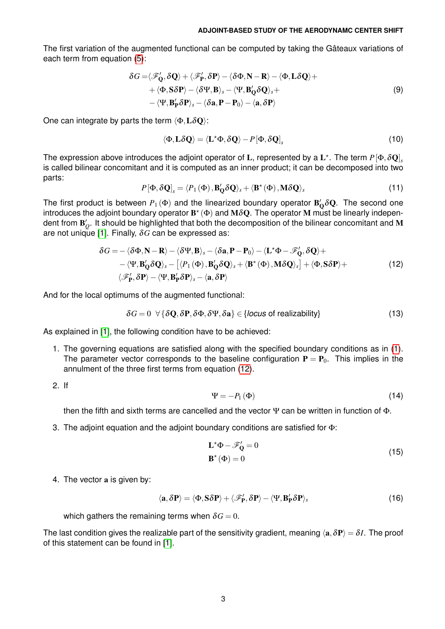The first variation of the augmented functional can be computed by taking the Gâteaux variations of each term from equation [\(5\)](#page-1-1):

$$
\delta G = \langle \mathcal{F}'_{Q}, \delta Q \rangle + \langle \mathcal{F}'_{P}, \delta P \rangle - \langle \delta \Phi, N - R \rangle - \langle \Phi, L \delta Q \rangle + + \langle \Phi, S \delta P \rangle - \langle \delta \Psi, B \rangle_{s} - \langle \Psi, B'_{Q} \delta Q \rangle_{s} + - \langle \Psi, B'_{P} \delta P \rangle_{s} - \langle \delta a, P - P_{0} \rangle - \langle a, \delta P \rangle
$$
\n(9)

One can integrate by parts the term  $\langle \Phi, L\delta Q \rangle$ :

$$
\langle \Phi, L\delta Q \rangle = \langle L^* \Phi, \delta Q \rangle - P [\Phi, \delta Q]_s \tag{10}
$$

The expression above introduces the adjoint operator of L, represented by a  $L^\star$ . The term  $P[\Phi,\delta \mathbf{Q}]_s$ is called bilinear concomitant and it is computed as an inner product; it can be decomposed into two parts:

<span id="page-2-0"></span>
$$
P[\Phi, \delta \mathbf{Q}]_s = \langle P_1(\Phi), \mathbf{B}_\mathbf{Q}' \delta \mathbf{Q} \rangle_s + \langle \mathbf{B}^\star(\Phi), \mathbf{M} \delta \mathbf{Q} \rangle_s \tag{11}
$$

The first product is between  $P_1(\Phi)$  and the linearized boundary operator  $\bf{B}_Q'\delta Q$ . The second one introduces the adjoint boundary operator  $\mathbf{B}^\star(\Phi)$  and  $\mathbf{M} \delta \mathbf{Q}.$  The operator  $\mathbf{M}$  must be linearly independent from  $\mathbf{B}_\mathcal{Q}^\prime$ . It should be highlighted that both the decomposition of the bilinear concomitant and  $\mathbf M$ are not unique [\[1\]](#page-9-0). Finally,  $\delta G$  can be expressed as:

$$
\delta G = -\langle \delta \Phi, \mathbf{N} - \mathbf{R} \rangle - \langle \delta \Psi, \mathbf{B} \rangle_s - \langle \delta \mathbf{a}, \mathbf{P} - \mathbf{P}_0 \rangle - \langle \mathbf{L}^* \Phi - \mathscr{F}'_{\mathbf{Q}}, \delta \mathbf{Q} \rangle + \n- \langle \Psi, \mathbf{B}'_{\mathbf{Q}} \delta \mathbf{Q} \rangle_s - [\langle P_1 (\Phi), \mathbf{B}'_{\mathbf{Q}} \delta \mathbf{Q} \rangle_s + \langle \mathbf{B}^* (\Phi), \mathbf{M} \delta \mathbf{Q} \rangle_s] + \langle \Phi, \mathbf{S} \delta \mathbf{P} \rangle + \n\langle \mathscr{F}'_{\mathbf{P}}, \delta \mathbf{P} \rangle - \langle \Psi, \mathbf{B}'_{\mathbf{P}} \delta \mathbf{P} \rangle_s - \langle \mathbf{a}, \delta \mathbf{P} \rangle
$$
\n(12)

And for the local optimums of the augmented functional:

$$
\delta G = 0 \ \ \forall \{\delta \mathbf{Q}, \delta \mathbf{P}, \delta \Phi, \delta \Psi, \delta \mathbf{a}\} \in \{\text{locus of realizability}\}\
$$

As explained in [\[1\]](#page-9-0), the following condition have to be achieved:

1. The governing equations are satisfied along with the specified boundary conditions as in [\(1\)](#page-0-0). The parameter vector corresponds to the baseline configuration  $P = P_0$ . This implies in the annulment of the three first terms from equation [\(12\)](#page-2-0).

2. If

$$
\Psi = -P_1 \left( \Phi \right) \tag{14}
$$

then the fifth and sixth terms are cancelled and the vector  $\Psi$  can be written in function of  $\Phi$ .

3. The adjoint equation and the adjoint boundary conditions are satisfied for Φ:

$$
\mathbf{L}^* \Phi - \mathscr{F}'_Q = 0
$$
  

$$
\mathbf{B}^* (\Phi) = 0
$$
 (15)

4. The vector a is given by:

$$
\langle \mathbf{a}, \delta \mathbf{P} \rangle = \langle \Phi, \mathbf{S} \delta \mathbf{P} \rangle + \langle \mathcal{F}'_{\mathbf{P}}, \delta \mathbf{P} \rangle - \langle \Psi, \mathbf{B}'_{\mathbf{P}} \delta \mathbf{P} \rangle_{s}
$$
(16)

which gathers the remaining terms when  $\delta G = 0$ .

The last condition gives the realizable part of the sensitivity gradient, meaning  $\langle a, \delta P \rangle = \delta I$ . The proof of this statement can be found in [\[1\]](#page-9-0).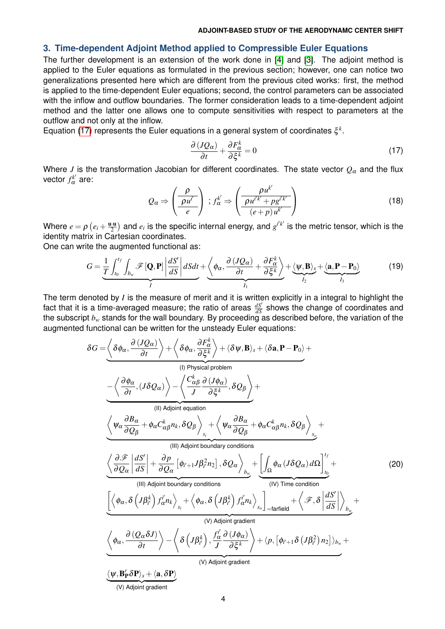### **3. Time-dependent Adjoint Method applied to Compressible Euler Equations**

The further development is an extension of the work done in [\[4\]](#page-9-1) and [\[3\]](#page-9-2). The adjoint method is applied to the Euler equations as formulated in the previous section; however, one can notice two generalizations presented here which are different from the previous cited works: first, the method is applied to the time-dependent Euler equations; second, the control parameters can be associated with the inflow and outflow boundaries. The former consideration leads to a time-dependent adjoint method and the latter one allows one to compute sensitivities with respect to parameters at the outflow and not only at the inflow.

Equation [\(17\)](#page-3-0) represents the Euler equations in a general system of coordinates ξ *k* .

<span id="page-3-0"></span>
$$
\frac{\partial (JQ_{\alpha})}{\partial t} + \frac{\partial F_{\alpha}^{k}}{\partial \xi^{k}} = 0
$$
\n(17)

Where *J* is the transformation Jacobian for different coordinates. The state vector *Q*<sup>α</sup> and the flux vector  $f_\alpha^{k'}$  are:

<span id="page-3-1"></span>
$$
Q_{\alpha} \Rightarrow \left(\frac{\rho}{\rho u^{i'}}\right) \, ; \, f_{\alpha}^{k'} \Rightarrow \left(\frac{\rho u^{k'}}{\rho u^{i'k'} + \rho g^{i'k'}}\right) \tag{18}
$$

Where  $e = \rho \left( e_i + \frac{\mathbf{u} \cdot \mathbf{u}}{2} \right)$  $\frac{1}{2}$ ) and  $e_i$  is the specific internal energy, and  $g^{i'k'}$  is the metric tensor, which is the identity matrix in Cartesian coordinates.

One can write the augmented functional as:

$$
G = \underbrace{\frac{1}{T} \int_{t_0}^{t_f} \int_{b_w} \mathcal{F}[\mathbf{Q}, \mathbf{P}] \left| \frac{dS'}{dS} \right| dSdt}_{I} + \underbrace{\left\langle \phi_{\alpha}, \frac{\partial (JQ_{\alpha})}{\partial t} + \frac{\partial F_{\alpha}^k}{\partial \xi^k} \right\rangle}_{I_1} + \underbrace{\left\langle \Psi, \mathbf{B} \right\rangle_s}_{I_2} + \underbrace{\left\langle \mathbf{a}, \mathbf{P} - \mathbf{P}_0 \right\rangle}_{I_3}
$$
(19)

The term denoted by *I* is the measure of merit and it is written explicitly in a integral to highlight the fact that it is a time-averaged measure; the ratio of areas  $\frac{dS'}{dS}$  shows the change of coordinates and the subscript *b<sup>w</sup>* stands for the wall boundary. By proceeding as described before, the variation of the augmented functional can be written for the unsteady Euler equations:

$$
\delta G = \underbrace{\left\langle \delta \phi_{\alpha}, \frac{\partial (JQ_{\alpha})}{\partial t} \right\rangle + \left\langle \delta \phi_{\alpha}, \frac{\partial F_{\alpha}^{k}}{\partial \xi^{k}} \right\rangle}_{(I) \text{ Physical problem}}
$$
\n
$$
= \underbrace{\left\langle \frac{\partial \phi_{\alpha}}{\partial t}, (J \delta Q_{\alpha}) \right\rangle - \left\langle \frac{C_{\alpha\beta}^{k}}{J} \frac{\partial (J\phi_{\alpha})}{\partial \xi^{k}}, \delta Q_{\beta} \right\rangle}_{(II) \text{ Adjoint equation}}
$$
\n
$$
\underbrace{\left\langle \psi_{\alpha} \frac{\partial B_{\alpha}}{\partial Q_{\beta}} + \phi_{\alpha} C_{\alpha\beta}^{k} n_{k}, \delta Q_{\beta} \right\rangle}_{(III) \text{ Adjoint equation}}
$$
\n
$$
\underbrace{\left\langle \psi_{\alpha} \frac{\partial B_{\alpha}}{\partial Q_{\beta}} + \phi_{\alpha} C_{\alpha\beta}^{k} n_{k}, \delta Q_{\beta} \right\rangle}_{(III) \text{ Adjoint boundary conditions}}
$$
\n
$$
\underbrace{\left\langle \frac{\partial \mathcal{F}}{\partial Q_{\alpha}} \left| \frac{dS'}{dS} \right| + \frac{\partial p}{\partial Q_{\alpha}} \left[ \phi_{i'+1} J \beta_{i'}^{2} n_{2} \right], \delta Q_{\alpha} \right\rangle}_{(IV) \text{ Time condition}}
$$
\n
$$
\underbrace{\left\langle \phi_{\alpha}, \delta \left( J \beta_{i'}^{k} \right) f_{\alpha}^{j} n_{k} \right\rangle_{s_{i}} + \left\langle \phi_{\alpha}, \delta \left( J \beta_{i'}^{k} \right) f_{\alpha}^{j} n_{k} \right\rangle_{s_{o}}}_{(V) \text{ Adjoint gradient}}
$$
\n
$$
\underbrace{\left\langle \phi_{\alpha}, \frac{\partial (Q_{\alpha} \delta J)}{\partial t} \right\rangle - \left\langle \delta \left( J \beta_{i'}^{k} \right), \frac{f_{\alpha}^{j}}{J} \frac{\partial (J \phi_{\alpha})}{\partial \xi^{k}} \right\rangle + \left\langle p, \left[ \phi_{i'+1} \delta \left( J \beta_{i'}^{2} \right) n_{2} \right] \right\rangle_{b_{w}}}_{(V) \text{ Adjoint gradient}}
$$
\n
$$
\underbrace{\left\langle
$$

(V) Adjoint gradient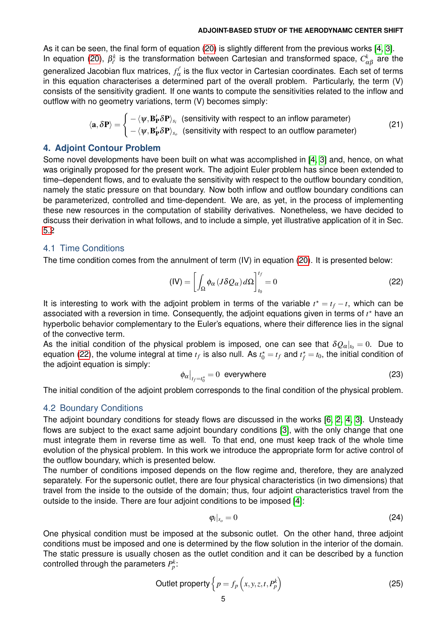As it can be seen, the final form of equation [\(20\)](#page-3-1) is slightly different from the previous works [\[4,](#page-9-1) [3\]](#page-9-2). In equation [\(20\)](#page-3-1),  $\beta_{i'}^k$  is the transformation between Cartesian and transformed space,  $C_{\alpha\beta}^k$  are the generalized Jacobian flux matrices,  $f_\alpha^{i'}$  $\alpha \overline{\alpha}$  is the flux vector in Cartesian coordinates. Each set of terms in this equation characterises a determined part of the overall problem. Particularly, the term (V) consists of the sensitivity gradient. If one wants to compute the sensitivities related to the inflow and outflow with no geometry variations, term (V) becomes simply:

<span id="page-4-1"></span>
$$
\langle \mathbf{a}, \delta \mathbf{P} \rangle = \begin{cases} -\langle \psi, \mathbf{B}_{\mathbf{P}}' \delta \mathbf{P} \rangle_{s_i} & \text{(sensitivity with respect to an inflow parameter)}\\ -\langle \psi, \mathbf{B}_{\mathbf{P}}' \delta \mathbf{P} \rangle_{s_o} & \text{(sensitivity with respect to an outflow parameter)} \end{cases} \tag{21}
$$

### **4. Adjoint Contour Problem**

Some novel developments have been built on what was accomplished in [\[4,](#page-9-1) [3\]](#page-9-2) and, hence, on what was originally proposed for the present work. The adjoint Euler problem has since been extended to time–dependent flows, and to evaluate the sensitivity with respect to the outflow boundary condition, namely the static pressure on that boundary. Now both inflow and outflow boundary conditions can be parameterized, controlled and time-dependent. We are, as yet, in the process of implementing these new resources in the computation of stability derivatives. Nonetheless, we have decided to discuss their derivation in what follows, and to include a simple, yet illustrative application of it in Sec. [5.2.](#page-7-0)

## 4.1 Time Conditions

The time condition comes from the annulment of term (IV) in equation [\(20\)](#page-3-1). It is presented below:

<span id="page-4-0"></span>
$$
(\text{IV}) = \left[ \int_{\Omega} \phi_{\alpha} \left( J \delta Q_{\alpha} \right) d\Omega \right]_{t_0}^{t_f} = 0 \tag{22}
$$

It is interesting to work with the adjoint problem in terms of the variable  $t^* = t_f - t$ , which can be associated with a reversion in time. Consequently, the adjoint equations given in terms of *t* ? have an hyperbolic behavior complementary to the Euler's equations, where their difference lies in the signal of the convective term.

As the initial condition of the physical problem is imposed, one can see that  $\delta Q_{\alpha}|_{t_0} = 0$ . Due to equation [\(22\)](#page-4-0), the volume integral at time  $t_f$  is also null. As  $t_0^\star=t_f$  and  $t_f^\star=t_0$ , the initial condition of the adjoint equation is simply:

$$
\phi_{\alpha}|_{t_f = t_0^*} = 0 \text{ everywhere} \tag{23}
$$

The initial condition of the adjoint problem corresponds to the final condition of the physical problem.

### 4.2 Boundary Conditions

The adjoint boundary conditions for steady flows are discussed in the works [\[6,](#page-9-3) [2,](#page-9-4) [4,](#page-9-1) [3\]](#page-9-2). Unsteady flows are subject to the exact same adjoint boundary conditions [\[3\]](#page-9-2), with the only change that one must integrate them in reverse time as well. To that end, one must keep track of the whole time evolution of the physical problem. In this work we introduce the appropriate form for active control of the outflow boundary, which is presented below.

The number of conditions imposed depends on the flow regime and, therefore, they are analyzed separately. For the supersonic outlet, there are four physical characteristics (in two dimensions) that travel from the inside to the outside of the domain; thus, four adjoint characteristics travel from the outside to the inside. There are four adjoint conditions to be imposed [\[4\]](#page-9-1):

$$
\varphi_i|_{s_o}=0\tag{24}
$$

One physical condition must be imposed at the subsonic outlet. On the other hand, three adjoint conditions must be imposed and one is determined by the flow solution in the interior of the domain. The static pressure is usually chosen as the outlet condition and it can be described by a function controlled through the parameters  $P^k_p$ :

$$
\text{Outlet property}\left\{p = f_p\left(x, y, z, t, P_p^k\right)\right\} \tag{25}
$$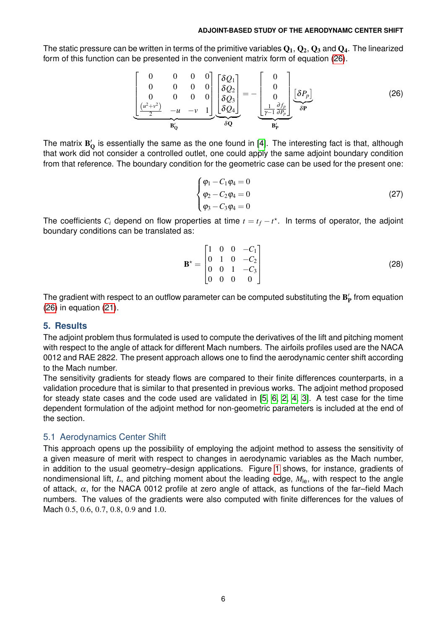The static pressure can be written in terms of the primitive variables  $Q_1, Q_2, Q_3$  and  $Q_4$ . The linearized form of this function can be presented in the convenient matrix form of equation [\(26\)](#page-5-0).

$$
\underbrace{\begin{bmatrix} 0 & 0 & 0 & 0 \\ 0 & 0 & 0 & 0 \\ 0 & 0 & 0 & 0 \\ \frac{(u^2+v^2)}{2} & -u & -v & 1 \end{bmatrix}}_{\mathbf{B}_{\mathbf{Q}}} \underbrace{\begin{bmatrix} \delta Q_1 \\ \delta Q_2 \\ \delta Q_3 \\ \delta Q_4 \end{bmatrix}}_{\delta \mathbf{Q}} = -\underbrace{\begin{bmatrix} 0 \\ 0 \\ 0 \\ \frac{1}{\gamma-1} \frac{\partial f_p}{\partial P_p} \end{bmatrix}}_{\mathbf{B}_{\mathbf{P}}} \underbrace{\begin{bmatrix} \delta P_p \end{bmatrix}}_{\delta \mathbf{P}} \tag{26}
$$

The matrix  $B_Q'$  is essentially the same as the one found in [\[4\]](#page-9-1). The interesting fact is that, although that work did not consider a controlled outlet, one could apply the same adjoint boundary condition from that reference. The boundary condition for the geometric case can be used for the present one:

<span id="page-5-0"></span>
$$
\begin{cases}\n\varphi_1 - C_1 \varphi_4 = 0 \\
\varphi_2 - C_2 \varphi_4 = 0 \\
\varphi_3 - C_3 \varphi_4 = 0\n\end{cases}
$$
\n(27)

The coefficients  $C_i$  depend on flow properties at time  $t = t_f - t^*$ . In terms of operator, the adjoint boundary conditions can be translated as:

$$
\mathbf{B}^* = \begin{bmatrix} 1 & 0 & 0 & -C_1 \\ 0 & 1 & 0 & -C_2 \\ 0 & 0 & 1 & -C_3 \\ 0 & 0 & 0 & 0 \end{bmatrix}
$$
 (28)

The gradient with respect to an outflow parameter can be computed substituting the  $B'_P$  from equation [\(26\)](#page-5-0) in equation [\(21\)](#page-4-1).

### **5. Results**

The adjoint problem thus formulated is used to compute the derivatives of the lift and pitching moment with respect to the angle of attack for different Mach numbers. The airfoils profiles used are the NACA 0012 and RAE 2822. The present approach allows one to find the aerodynamic center shift according to the Mach number.

The sensitivity gradients for steady flows are compared to their finite differences counterparts, in a validation procedure that is similar to that presented in previous works. The adjoint method proposed for steady state cases and the code used are validated in [\[5,](#page-9-5) [6,](#page-9-3) [2,](#page-9-4) [4,](#page-9-1) [3\]](#page-9-2). A test case for the time dependent formulation of the adjoint method for non-geometric parameters is included at the end of the section.

# 5.1 Aerodynamics Center Shift

This approach opens up the possibility of employing the adjoint method to assess the sensitivity of a given measure of merit with respect to changes in aerodynamic variables as the Mach number, in addition to the usual geometry–design applications. Figure [1](#page-6-0) shows, for instance, gradients of nondimensional lift, *L*, and pitching moment about the leading edge,  $M_{\text{le}}$ , with respect to the angle of attack,  $\alpha$ , for the NACA 0012 profile at zero angle of attack, as functions of the far-field Mach numbers. The values of the gradients were also computed with finite differences for the values of Mach 0.5, 0.6, 0.7, 0.8, 0.9 and 1.0.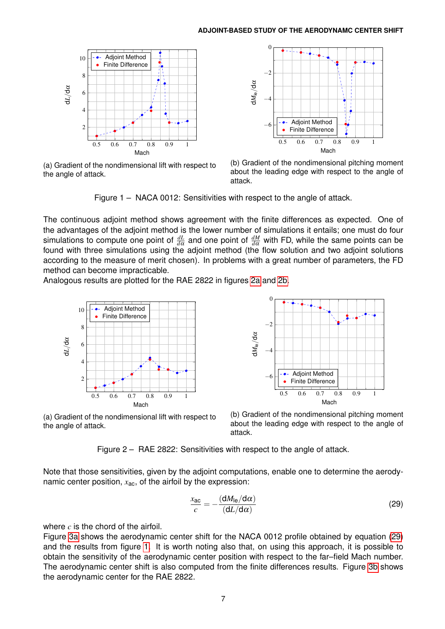<span id="page-6-0"></span>

(a) Gradient of the nondimensional lift with respect to the angle of attack.



(b) Gradient of the nondimensional pitching moment about the leading edge with respect to the angle of attack.

Figure 1 – NACA 0012: Sensitivities with respect to the angle of attack.

The continuous adjoint method shows agreement with the finite differences as expected. One of the advantages of the adjoint method is the lower number of simulations it entails; one must do four simulations to compute one point of  $\frac{dL}{d\alpha}$  and one point of  $\frac{dM}{d\alpha}$  with FD, while the same points can be found with three simulations using the adjoint method (the flow solution and two adjoint solutions according to the measure of merit chosen). In problems with a great number of parameters, the FD method can become impracticable.

<span id="page-6-1"></span>Analogous results are plotted for the RAE 2822 in figures [2a](#page-6-1) and [2b.](#page-6-1)



(a) Gradient of the nondimensional lift with respect to the angle of attack.



(b) Gradient of the nondimensional pitching moment about the leading edge with respect to the angle of attack.

Figure 2 – RAE 2822: Sensitivities with respect to the angle of attack.

Note that those sensitivities, given by the adjoint computations, enable one to determine the aerodynamic center position, *x*ac, of the airfoil by the expression:

<span id="page-6-2"></span>
$$
\frac{x_{\rm ac}}{c} = -\frac{(\mathrm{d}M_{\rm le}/\mathrm{d}\alpha)}{(\mathrm{d}L/\mathrm{d}\alpha)}\tag{29}
$$

where *c* is the chord of the airfoil.

Figure [3a](#page-7-1) shows the aerodynamic center shift for the NACA 0012 profile obtained by equation [\(29\)](#page-6-2) and the results from figure [1.](#page-6-0) It is worth noting also that, on using this approach, it is possible to obtain the sensitivity of the aerodynamic center position with respect to the far–field Mach number. The aerodynamic center shift is also computed from the finite differences results. Figure [3b](#page-7-1) shows the aerodynamic center for the RAE 2822.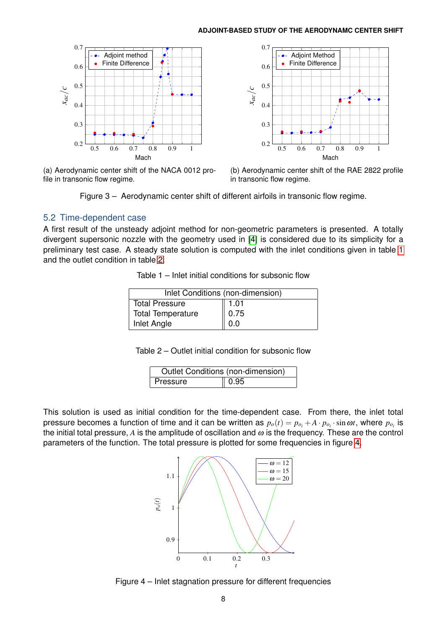<span id="page-7-1"></span>

(a) Aerodynamic center shift of the NACA 0012 profile in transonic flow regime.



(b) Aerodynamic center shift of the RAE 2822 profile in transonic flow regime.



### <span id="page-7-0"></span>5.2 Time-dependent case

<span id="page-7-2"></span>A first result of the unsteady adjoint method for non-geometric parameters is presented. A totally divergent supersonic nozzle with the geometry used in [\[4\]](#page-9-1) is considered due to its simplicity for a preliminary test case. A steady state solution is computed with the inlet conditions given in table [1](#page-7-2) and the outlet condition in table [2.](#page-7-3)

Table 1 – Inlet initial conditions for subsonic flow

| Inlet Conditions (non-dimension) |      |  |
|----------------------------------|------|--|
| Total Pressure                   | 1.01 |  |
| Total Temperature                | 0.75 |  |
| Inlet Angle                      | 0.0  |  |

| Table 2 – Outlet initial condition for subsonic flow |  |  |  |
|------------------------------------------------------|--|--|--|
|------------------------------------------------------|--|--|--|

| Outlet Conditions (non-dimension) |                  |  |
|-----------------------------------|------------------|--|
| Pressure                          | $\parallel$ 0.95 |  |

<span id="page-7-4"></span><span id="page-7-3"></span>This solution is used as initial condition for the time-dependent case. From there, the inlet total pressure becomes a function of time and it can be written as  $p_o(t) = p_{o_i} + A\cdot p_{o_i}\cdot\sin\omega t$ , where  $p_{o_i}$  is the initial total pressure,  $A$  is the amplitude of oscillation and  $\omega$  is the frequency. These are the control parameters of the function. The total pressure is plotted for some frequencies in figure [4.](#page-7-4)



Figure 4 – Inlet stagnation pressure for different frequencies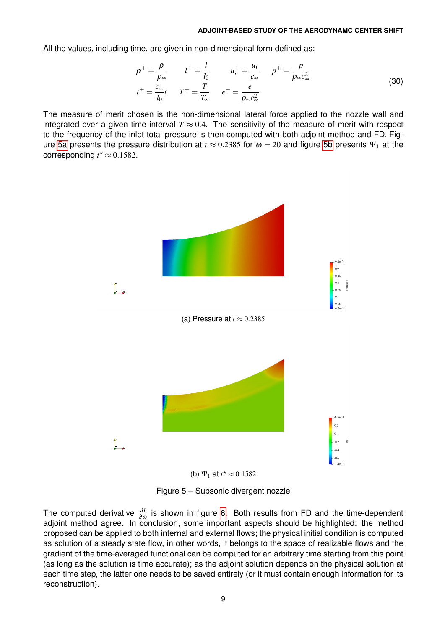All the values, including time, are given in non-dimensional form defined as:

$$
\rho^{+} = \frac{\rho}{\rho_{\infty}} \qquad l^{+} = \frac{l}{l_{0}} \qquad u_{i}^{+} = \frac{u_{i}}{c_{\infty}} \qquad p^{+} = \frac{p}{\rho_{\infty} c_{\infty}^{2}}
$$
\n
$$
t^{+} = \frac{c_{\infty}}{l_{0}} t \qquad T^{+} = \frac{T}{T_{\infty}} \qquad e^{+} = \frac{e}{\rho_{\infty} c_{\infty}^{2}}
$$
\n
$$
(30)
$$

<span id="page-8-0"></span>The measure of merit chosen is the non-dimensional lateral force applied to the nozzle wall and integrated over a given time interval  $T \approx 0.4$ . The sensitivity of the measure of merit with respect to the frequency of the inlet total pressure is then computed with both adjoint method and FD. Fig-ure [5a](#page-8-0) presents the pressure distribution at  $t \approx 0.2385$  for  $\omega = 20$  and figure [5b](#page-8-0) presents  $\Psi_1$  at the corresponding  $t^* \approx 0.1582$ .





Figure 5 – Subsonic divergent nozzle

The computed derivative  $\frac{\partial I}{\partial \omega}$  is shown in figure [6.](#page-9-6) Both results from FD and the time-dependent adjoint method agree. In conclusion, some important aspects should be highlighted: the method proposed can be applied to both internal and external flows; the physical initial condition is computed as solution of a steady state flow, in other words, it belongs to the space of realizable flows and the gradient of the time-averaged functional can be computed for an arbitrary time starting from this point (as long as the solution is time accurate); as the adjoint solution depends on the physical solution at each time step, the latter one needs to be saved entirely (or it must contain enough information for its reconstruction).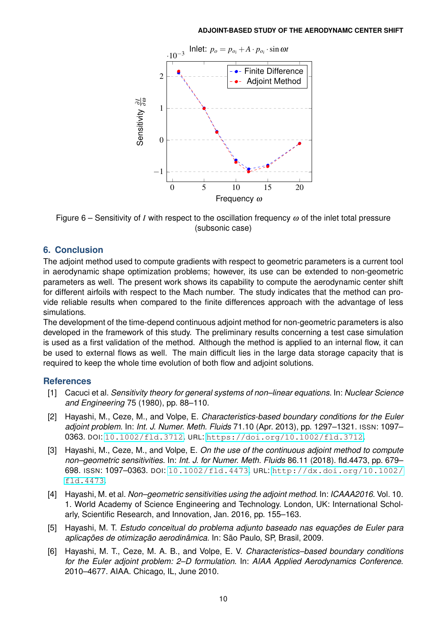<span id="page-9-6"></span>

Figure 6 – Sensitivity of *I* with respect to the oscillation frequency  $\omega$  of the inlet total pressure (subsonic case)

# **6. Conclusion**

The adjoint method used to compute gradients with respect to geometric parameters is a current tool in aerodynamic shape optimization problems; however, its use can be extended to non-geometric parameters as well. The present work shows its capability to compute the aerodynamic center shift for different airfoils with respect to the Mach number. The study indicates that the method can provide reliable results when compared to the finite differences approach with the advantage of less simulations.

The development of the time-depend continuous adjoint method for non-geometric parameters is also developed in the framework of this study. The preliminary results concerning a test case simulation is used as a first validation of the method. Although the method is applied to an internal flow, it can be used to external flows as well. The main difficult lies in the large data storage capacity that is required to keep the whole time evolution of both flow and adjoint solutions.

# **References**

- <span id="page-9-0"></span>[1] Cacuci et al. *Sensitivity theory for general systems of non–linear equations*. In: *Nuclear Science and Engineering* 75 (1980), pp. 88–110.
- <span id="page-9-4"></span>[2] Hayashi, M., Ceze, M., and Volpe, E. *Characteristics-based boundary conditions for the Euler adjoint problem*. In: *Int. J. Numer. Meth. Fluids* 71.10 (Apr. 2013), pp. 1297–1321. ISSN: 1097– 0363. DOI: [10.1002/fld.3712](https://doi.org/10.1002/fld.3712). URL: <https://doi.org/10.1002/fld.3712>.
- <span id="page-9-2"></span>[3] Hayashi, M., Ceze, M., and Volpe, E. *On the use of the continuous adjoint method to compute non–geometric sensitivities*. In: *Int. J. for Numer. Meth. Fluids* 86.11 (2018). fld.4473, pp. 679– 698. ISSN: 1097–0363. DOI: [10.1002/fld.4473](https://doi.org/10.1002/fld.4473). URL: [http://dx.doi.org/10.1002/](http://dx.doi.org/10.1002/fld.4473) [fld.4473](http://dx.doi.org/10.1002/fld.4473).
- <span id="page-9-1"></span>[4] Hayashi, M. et al. *Non–geometric sensitivities using the adjoint method*. In: *ICAAA2016*. Vol. 10. 1. World Academy of Science Engineering and Technology. London, UK: International Scholarly, Scientific Research, and Innovation, Jan. 2016, pp. 155–163.
- <span id="page-9-5"></span>[5] Hayashi, M. T. *Estudo conceitual do problema adjunto baseado nas equações de Euler para aplicações de otimização aerodinâmica*. In: São Paulo, SP, Brasil, 2009.
- <span id="page-9-3"></span>[6] Hayashi, M. T., Ceze, M. A. B., and Volpe, E. V. *Characteristics–based boundary conditions for the Euler adjoint problem: 2–D formulation*. In: *AIAA Applied Aerodynamics Conference*. 2010–4677. AIAA. Chicago, IL, June 2010.